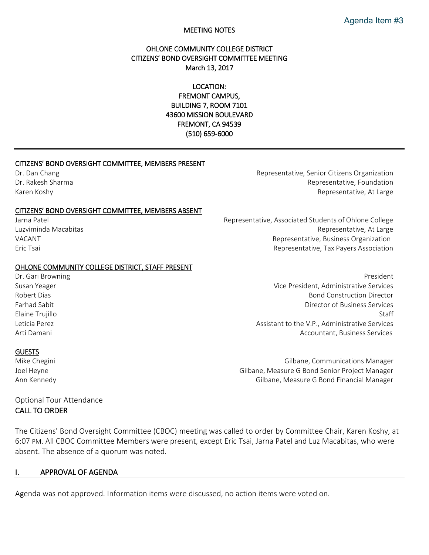#### MEETING NOTES

## OHLONE COMMUNITY COLLEGE DISTRICT CITIZENS' BOND OVERSIGHT COMMITTEE MEETING March 13, 2017

LOCATION: FREMONT CAMPUS, BUILDING 7, ROOM 7101 43600 MISSION BOULEVARD FREMONT, CA 94539 (510) 659-6000

#### CITIZENS' BOND OVERSIGHT COMMITTEE, MEMBERS PRESENT

#### CITIZENS' BOND OVERSIGHT COMMITTEE, MEMBERS ABSENT

#### OHLONE COMMUNITY COLLEGE DISTRICT, STAFF PRESENT

#### GUESTS

Dr. Dan Chang Representative, Senior Citizens Organization Changers Communication Citizens Organization Dr. Rakesh Sharma **Representative, Foundation** Representative, Foundation Karen Koshy Representative, At Large Representative, At Large Representative, At Large

Jarna Patel **Representative, Associated Students of Ohlone College** Representative, Associated Students of Ohlone College Luzviminda Macabitas Representative, At Large VACANT VACANT VACANT EXAMPLE THE SERVICE OF STATE REPRESENTATION REPRESENTATION REPRESENTS OF SAMPLE TRANSMITTED AND THE SERVICE OF STATE OF STATE OF STATE OF STATE OF STATE OF STATE OF STATE OF STATE OF STATE OF STATE OF Eric Tsai Representative, Tax Payers Association

Dr. Gari Browning **President** President Communication of the extent of the extent of the extent of the extent of the extent of the extent of the extent of the extent of the extent of the extent of the extent of the extent Susan Yeager Vice President, Administrative Services Robert Dias Bond Construction Director Farhad Sabit Director of Business Services Elaine Trujillo Staff Leticia Perez Assistant to the V.P., Administrative Services Arti Damani Accountant, Business Services

Mike Chegini Gilbane, Communications Manager Joel Heyne Gilbane, Measure G Bond Senior Project Manager Ann Kennedy Gilbane, Measure G Bond Financial Manager

### Optional Tour Attendance CALL TO ORDER

The Citizens' Bond Oversight Committee (CBOC) meeting was called to order by Committee Chair, Karen Koshy, at 6:07 PM. All CBOC Committee Members were present, except Eric Tsai, Jarna Patel and Luz Macabitas, who were absent. The absence of a quorum was noted.

#### I. APPROVAL OF AGENDA

Agenda was not approved. Information items were discussed, no action items were voted on.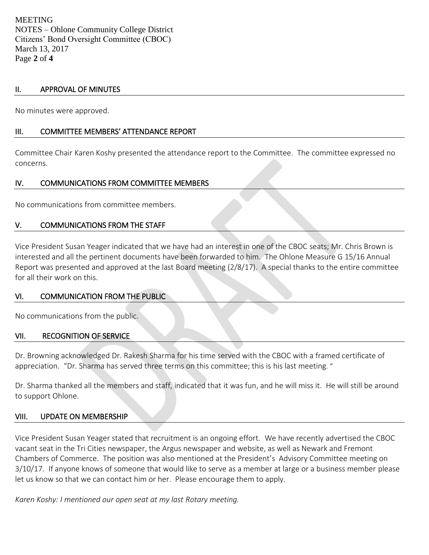### II. APPROVAL OF MINUTES

No minutes were approved.

# III. COMMITTEE MEMBERS' ATTENDANCE REPORT

Committee Chair Karen Koshy presented the attendance report to the Committee. The committee expressed no concerns.

## IV. COMMUNICATIONS FROM COMMITTEE MEMBERS

No communications from committee members.

## V. COMMUNICATIONS FROM THE STAFF

Vice President Susan Yeager indicated that we have had an interest in one of the CBOC seats; Mr. Chris Brown is interested and all the pertinent documents have been forwarded to him. The Ohlone Measure G 15/16 Annual Report was presented and approved at the last Board meeting (2/8/17). A special thanks to the entire committee for all their work on this.

### VI. COMMUNICATION FROM THE PUBLIC

No communications from the public.

### VII. RECOGNITION OF SERVICE

Dr. Browning acknowledged Dr. Rakesh Sharma for his time served with the CBOC with a framed certificate of appreciation. "Dr. Sharma has served three terms on this committee; this is his last meeting. "

Dr. Sharma thanked all the members and staff, indicated that it was fun, and he will miss it. He will still be around to support Ohlone.

### VIII. UPDATE ON MEMBERSHIP

Vice President Susan Yeager stated that recruitment is an ongoing effort. We have recently advertised the CBOC vacant seat in the Tri Cities newspaper, the Argus newspaper and website, as well as Newark and Fremont Chambers of Commerce. The position was also mentioned at the President's Advisory Committee meeting on 3/10/17. If anyone knows of someone that would like to serve as a member at large or a business member please let us know so that we can contact him or her. Please encourage them to apply.

*Karen Koshy: I mentioned our open seat at my last Rotary meeting.*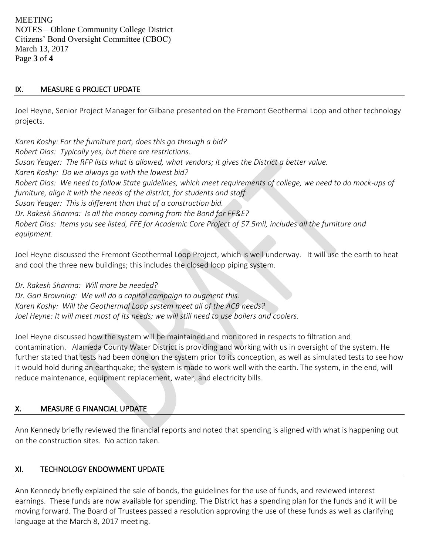MEETING NOTES – Ohlone Community College District Citizens' Bond Oversight Committee (CBOC) March 13, 2017 Page **3** of **4**

# IX. MEASURE G PROJECT UPDATE

Joel Heyne, Senior Project Manager for Gilbane presented on the Fremont Geothermal Loop and other technology projects.

*Karen Koshy: For the furniture part, does this go through a bid? Robert Dias: Typically yes, but there are restrictions. Susan Yeager: The RFP lists what is allowed, what vendors; it gives the District a better value. Karen Koshy: Do we always go with the lowest bid? Robert Dias: We need to follow State guidelines, which meet requirements of college, we need to do mock-ups of furniture, align it with the needs of the district, for students and staff. Susan Yeager: This is different than that of a construction bid. Dr. Rakesh Sharma: Is all the money coming from the Bond for FF&E? Robert Dias: Items you see listed, FFE for Academic Core Project of \$7.5mil, includes all the furniture and equipment.* 

Joel Heyne discussed the Fremont Geothermal Loop Project, which is well underway. It will use the earth to heat and cool the three new buildings; this includes the closed loop piping system.

*Dr. Rakesh Sharma: Will more be needed?* 

*Dr. Gari Browning: We will do a capital campaign to augment this. Karen Koshy: Will the Geothermal Loop system meet all of the ACB needs? Joel Heyne: It will meet most of its needs; we will still need to use boilers and coolers.* 

Joel Heyne discussed how the system will be maintained and monitored in respects to filtration and contamination. Alameda County Water District is providing and working with us in oversight of the system. He further stated that tests had been done on the system prior to its conception, as well as simulated tests to see how it would hold during an earthquake; the system is made to work well with the earth. The system, in the end, will reduce maintenance, equipment replacement, water, and electricity bills.

# X. MEASURE G FINANCIAL UPDATE

Ann Kennedy briefly reviewed the financial reports and noted that spending is aligned with what is happening out on the construction sites. No action taken.

# XI. TECHNOLOGY ENDOWMENT UPDATE

Ann Kennedy briefly explained the sale of bonds, the guidelines for the use of funds, and reviewed interest earnings. These funds are now available for spending. The District has a spending plan for the funds and it will be moving forward. The Board of Trustees passed a resolution approving the use of these funds as well as clarifying language at the March 8, 2017 meeting.